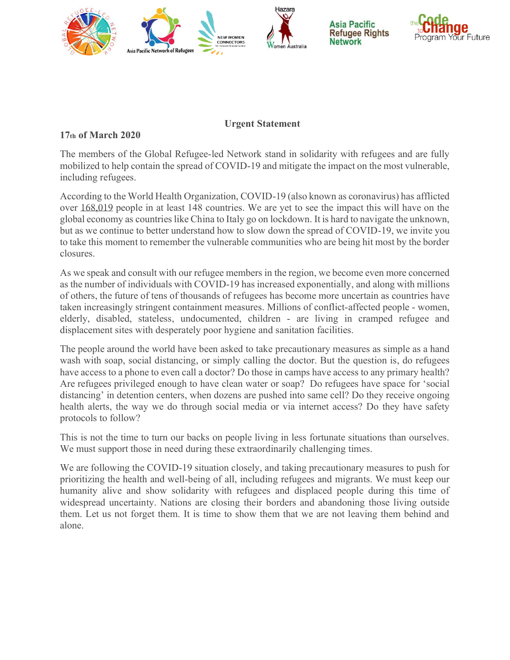

## **Urgent Statement**

## **17th of March 2020**

The members of the Global Refugee-led Network stand in solidarity with refugees and are fully mobilized to help contain the spread of COVID-19 and mitigate the impact on the most vulnerable, including refugees.

According to the World Health Organization, COVID-19 (also known as coronavirus) has afflicted over 168,019 people in at least 148 countries. We are yet to see the impact this will have on the global economy as countries like China to Italy go on lockdown. It is hard to navigate the unknown, but as we continue to better understand how to slow down the spread of COVID-19, we invite you to take this moment to remember the vulnerable communities who are being hit most by the border closures.

As we speak and consult with our refugee members in the region, we become even more concerned as the number of individuals with COVID-19 has increased exponentially, and along with millions of others, the future of tens of thousands of refugees has become more uncertain as countries have taken increasingly stringent containment measures. Millions of conflict-affected people - women, elderly, disabled, stateless, undocumented, children - are living in cramped refugee and displacement sites with desperately poor hygiene and sanitation facilities.

The people around the world have been asked to take precautionary measures as simple as a hand wash with soap, social distancing, or simply calling the doctor. But the question is, do refugees have access to a phone to even call a doctor? Do those in camps have access to any primary health? Are refugees privileged enough to have clean water or soap? Do refugees have space for 'social distancing' in detention centers, when dozens are pushed into same cell? Do they receive ongoing health alerts, the way we do through social media or via internet access? Do they have safety protocols to follow?

This is not the time to turn our backs on people living in less fortunate situations than ourselves. We must support those in need during these extraordinarily challenging times.

We are following the COVID-19 situation closely, and taking precautionary measures to push for prioritizing the health and well-being of all, including refugees and migrants. We must keep our humanity alive and show solidarity with refugees and displaced people during this time of widespread uncertainty. Nations are closing their borders and abandoning those living outside them. Let us not forget them. It is time to show them that we are not leaving them behind and alone.